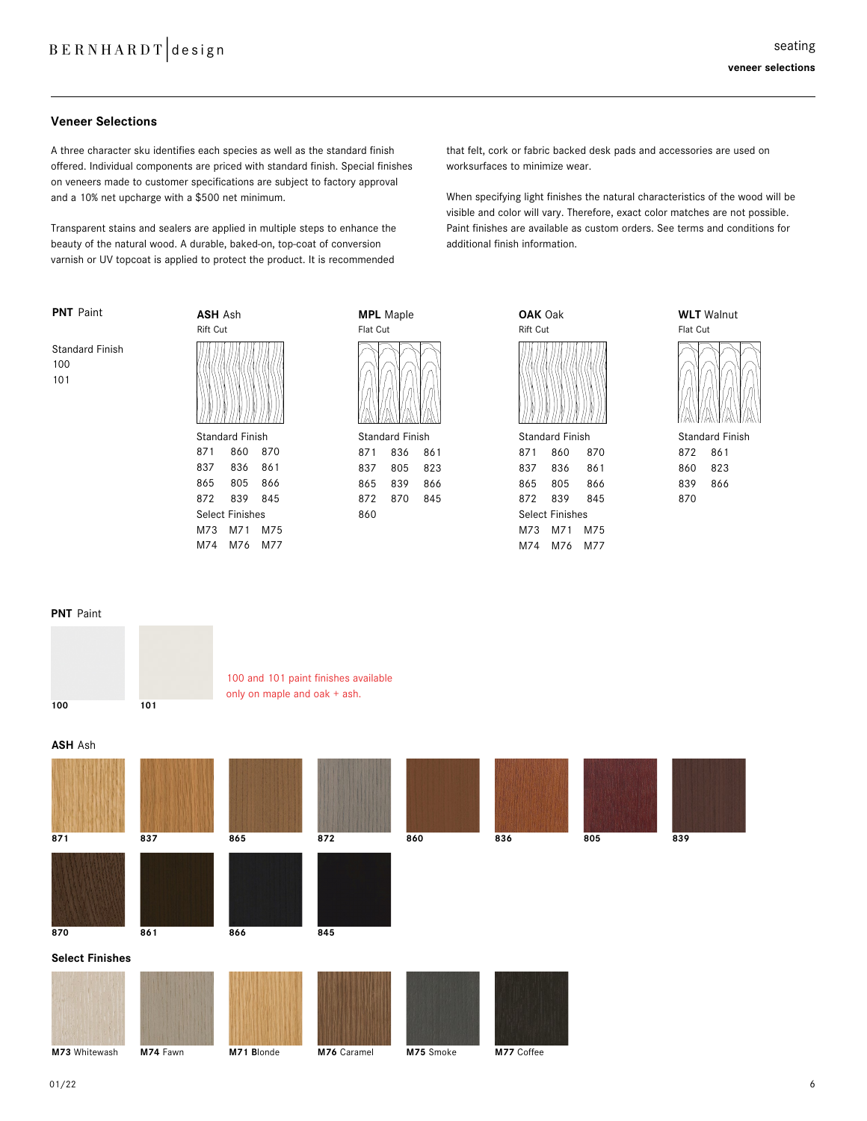# **Veneer Selections**

A three character sku identifies each species as well as the standard finish offered. Individual components are priced with standard finish. Special finishes on veneers made to customer specifications are subject to factory approval and a 10% net upcharge with a \$500 net minimum.

Transparent stains and sealers are applied in multiple steps to enhance the beauty of the natural wood. A durable, baked-on, top-coat of conversion varnish or UV topcoat is applied to protect the product. It is recommended

that felt, cork or fabric backed desk pads and accessories are used on worksurfaces to minimize wear.

When specifying light finishes the natural characteristics of the wood will be visible and color will vary. Therefore, exact color matches are not possible. Paint finishes are available as custom orders. See terms and conditions for additional finish information.

| <b>PNT</b> Paint                     | <b>ASH Ash</b><br><b>Rift Cut</b> |     |     |  |
|--------------------------------------|-----------------------------------|-----|-----|--|
| <b>Standard Finish</b><br>100<br>101 |                                   |     |     |  |
|                                      | <b>Standard Finish</b>            |     |     |  |
|                                      | 871                               | 860 | 870 |  |
|                                      | 837                               | 836 | 861 |  |
|                                      | 865                               | 805 | 866 |  |
|                                      | 872                               | 839 | 845 |  |
|                                      | <b>Select Finishes</b>            |     |     |  |

M73 M71 M75 M74 M76 M77



| <b>Standard Finish</b> |     |     |  |  |
|------------------------|-----|-----|--|--|
| 871                    | 836 | 861 |  |  |
| 837                    | 805 | 823 |  |  |
| 865                    | 839 | 866 |  |  |
| 872                    | 870 | 845 |  |  |
| 860                    |     |     |  |  |

| <b>OAK Oak</b>  |
|-----------------|
| <b>Rift Cut</b> |
| N II N II N I   |
| Standard Finieh |

| <b>Standard Finish</b> |     |     |  |  |
|------------------------|-----|-----|--|--|
| 871                    | 860 | 870 |  |  |
| 837                    | 836 | 861 |  |  |
| 865                    | 805 | 866 |  |  |
| 872                    | 839 | 845 |  |  |
| <b>Select Finishes</b> |     |     |  |  |
| M73                    | M71 | M75 |  |  |
| M74                    | M76 | M77 |  |  |



#### **PNT** Paint

**PNT** Paint



100 and 101 paint finishes available only on maple and oak + ash.

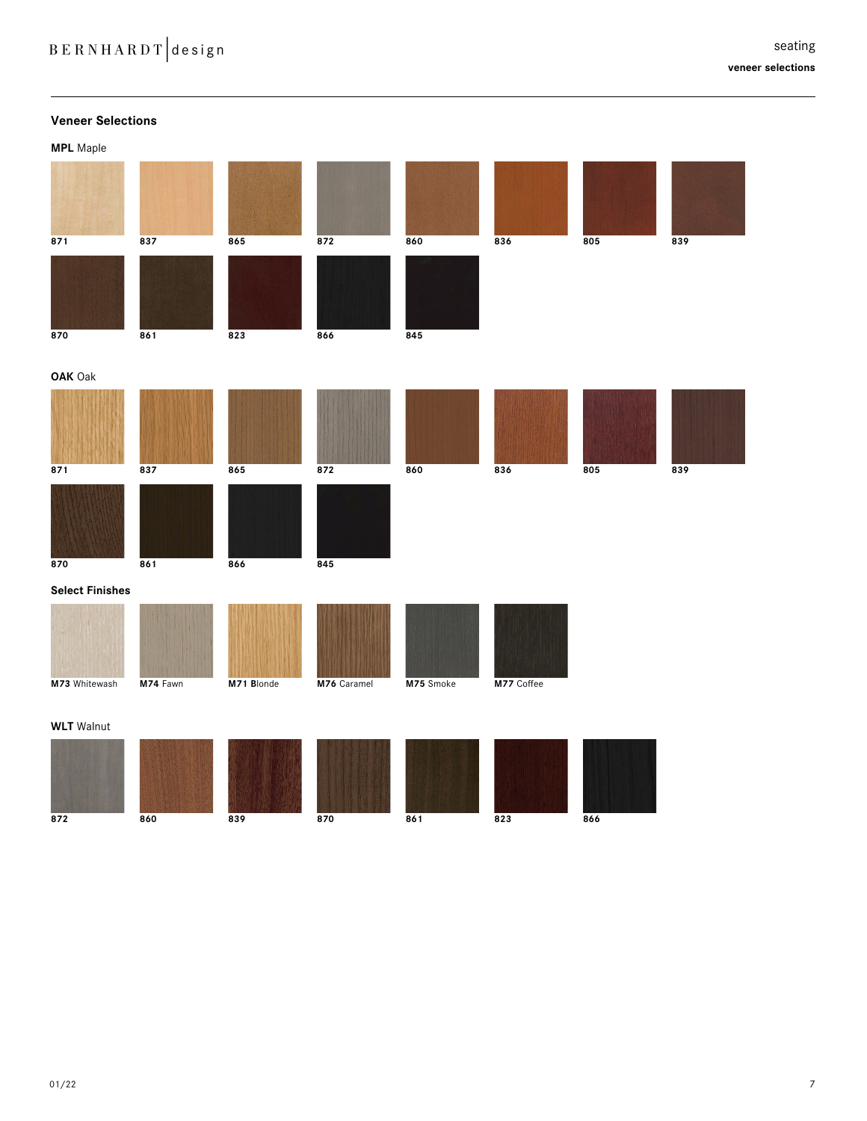| <b>Veneer Selections</b> |          |            |             |           |            |     |     |
|--------------------------|----------|------------|-------------|-----------|------------|-----|-----|
| <b>MPL</b> Maple         |          |            |             |           |            |     |     |
|                          |          |            |             |           |            |     |     |
| 871                      | 837      | 865        | 872         | 860       | 836        | 805 | 839 |
| 870                      | 861      | 823        | 866         | 845       |            |     |     |
| OAK Oak                  |          |            |             |           |            |     |     |
| 871                      | 837      | 865        | 872         | 860       | 836        | 805 | 839 |
| 870                      | 861      | 866        | 845         |           |            |     |     |
| <b>Select Finishes</b>   |          |            |             |           |            |     |     |
|                          |          |            |             |           |            |     |     |
| M73 Whitewash            | M74 Fawn | M71 Blonde | M76 Caramel | M75 Smoke | M77 Coffee |     |     |
| <b>WLT</b> Walnut        |          |            |             |           |            |     |     |
| 872                      | 860      | 839        | 870         | 861       | 823        | 866 |     |